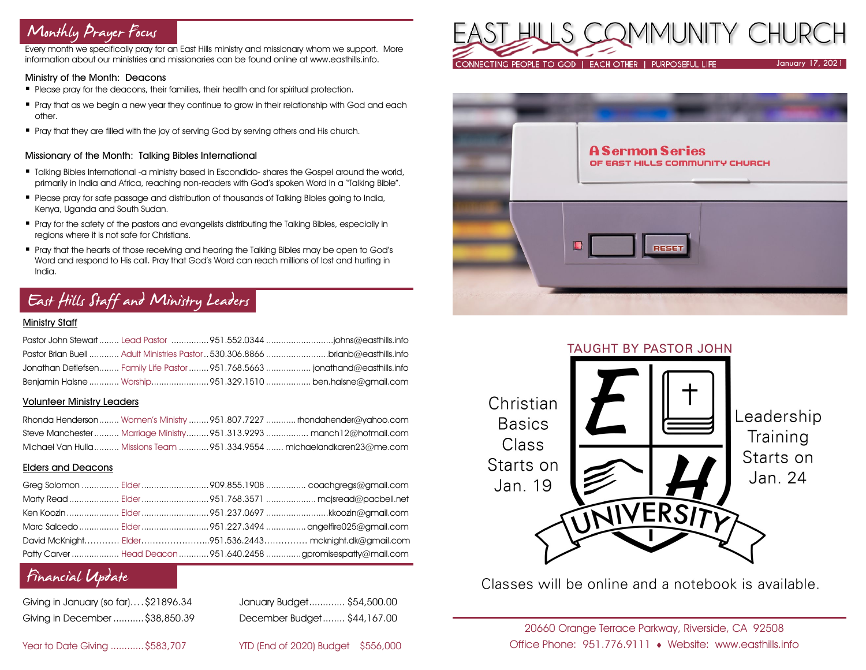# Monthly Prayer Focus

Every month we specifically pray for an East Hills ministry and missionary whom we support. More information about our ministries and missionaries can be found online at www.easthills.info.

### Ministry of the Month: Deacons

- Please pray for the deacons, their families, their health and for spiritual protection.
- Pray that as we begin a new year they continue to grow in their relationship with God and each other.
- Pray that they are filled with the joy of serving God by serving others and His church.

### Missionary of the Month: Talking Bibles International

- **Talking Bibles International -a ministry based in Escondido- shares the Gospel around the world,** primarily in India and Africa, reaching non-readers with God's spoken Word in a "Talking Bible".
- Please pray for safe passage and distribution of thousands of Talking Bibles going to India, Kenya, Uganda and South Sudan.
- Pray for the safety of the pastors and evangelists distributing the Talking Bibles, especially in regions where it is not safe for Christians.
- Pray that the hearts of those receiving and hearing the Talking Bibles may be open to God's Word and respond to His call. Pray that God's Word can reach millions of lost and hurting in India.

# East Hills Staff and Ministry Leaders

### Ministry Staff

|  | Pastor Brian Buell  Adult Ministries Pastor  530.306.8866 brianb@easthills.info |
|--|---------------------------------------------------------------------------------|
|  | Jonathan Detlefsen Family Life Pastor  951.768.5663  jonathand@easthills.info   |
|  | Benjamin Halsne  Worship951.329.1510  ben.halsne@gmail.com                      |

### Volunteer Ministry Leaders

|  | Rhonda Henderson Women's Ministry 951.807.7227  rhondahender@yahoo.com   |
|--|--------------------------------------------------------------------------|
|  | Steve Manchester  Marriage Ministry 951.313.9293  manch12@hotmail.com    |
|  | Michael Van Hulla  Missions Team  951.334.9554  michaelandkaren23@me.com |

### Elders and Deacons

|  | Marty Read  Elder 951.768.3571  mcjsread@pacbell.net            |
|--|-----------------------------------------------------------------|
|  | Ken Koozin  Elder 951.237.0697 kkoozin@gmail.com                |
|  |                                                                 |
|  | David McKnight Elder951.536.2443 mcknight.dk@gmail.com          |
|  | Patty Carver  Head Deacon  951.640.2458 gpromisespatty@mail.com |

# Financial Update

| Giving in January (so far)\$21896.34 |  |
|--------------------------------------|--|
| Giving in December  \$38,850.39      |  |

January Budget............. \$54,500.00 Giving in December ...........\$38,850.39 December Budget........ \$44,167.00

Year to Date Giving ............\$583,707 YTD (End of 2020) Budget \$556,000







Classes will be online and a notebook is available.

20660 Orange Terrace Parkway, Riverside, CA 92508 Office Phone: 951.776.9111 Website: www.easthills.info